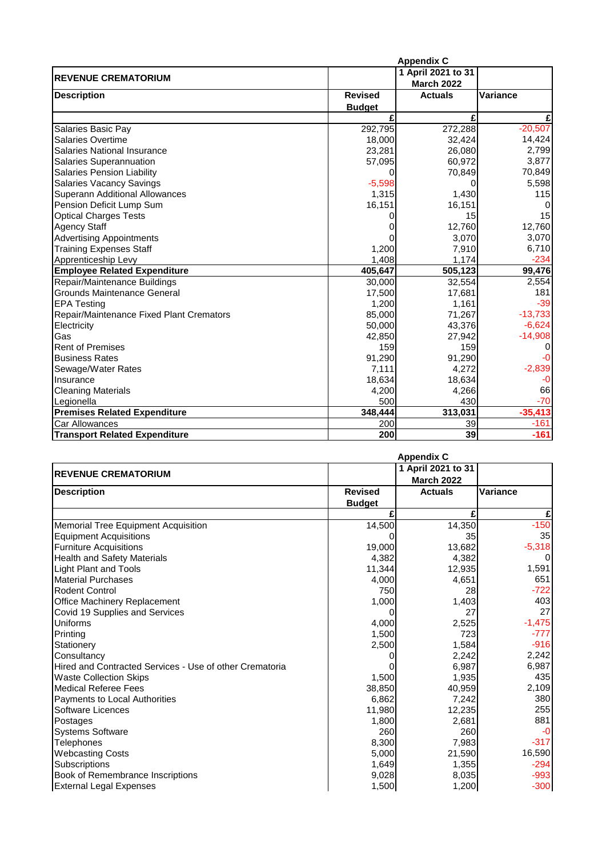|                                          | <b>Appendix C</b> |                    |           |
|------------------------------------------|-------------------|--------------------|-----------|
| <b>REVENUE CREMATORIUM</b>               |                   | 1 April 2021 to 31 |           |
|                                          |                   | <b>March 2022</b>  |           |
| <b>Description</b>                       | <b>Revised</b>    | <b>Actuals</b>     | Variance  |
|                                          | <b>Budget</b>     |                    |           |
|                                          |                   | £                  |           |
| Salaries Basic Pay                       | 292,795           | 272,288            | $-20,507$ |
| Salaries Overtime                        | 18,000            | 32,424             | 14,424    |
| <b>Salaries National Insurance</b>       | 23,281            | 26,080             | 2,799     |
| Salaries Superannuation                  | 57,095            | 60,972             | 3,877     |
| <b>Salaries Pension Liability</b>        |                   | 70,849             | 70,849    |
| <b>Salaries Vacancy Savings</b>          | $-5,598$          |                    | 5,598     |
| Superann Additional Allowances           | 1,315             | 1,430              | 115       |
| Pension Deficit Lump Sum                 | 16,151            | 16,151             | 0         |
| <b>Optical Charges Tests</b>             |                   | 15                 | 15        |
| <b>Agency Staff</b>                      |                   | 12,760             | 12,760    |
| <b>Advertising Appointments</b>          |                   | 3,070              | 3,070     |
| <b>Training Expenses Staff</b>           | 1,200             | 7,910              | 6,710     |
| Apprenticeship Levy                      | 1,408             | 1,174              | $-234$    |
| <b>Employee Related Expenditure</b>      | 405,647           | 505,123            | 99,476    |
| Repair/Maintenance Buildings             | 30,000            | 32,554             | 2,554     |
| Grounds Maintenance General              | 17,500            | 17,681             | 181       |
| <b>EPA Testing</b>                       | 1,200             | 1,161              | $-39$     |
| Repair/Maintenance Fixed Plant Cremators | 85,000            | 71,267             | $-13,733$ |
| Electricity                              | 50,000            | 43,376             | $-6,624$  |
| Gas                                      | 42.850            | 27,942             | $-14,908$ |
| <b>Rent of Premises</b>                  | 159               | 159                | 0         |
| <b>Business Rates</b>                    | 91,290            | 91,290             | -ი        |
| Sewage/Water Rates                       | 7,111             | 4,272              | $-2,839$  |
| Insurance                                | 18,634            | 18,634             | $-0$      |
| <b>Cleaning Materials</b>                | 4,200             | 4,266              | 66        |
| Legionella                               | 500               | 430                | $-70$     |
| <b>Premises Related Expenditure</b>      | 348,444           | 313,031            | $-35,413$ |
| Car Allowances                           | 200               | 39                 | $-161$    |
| <b>Transport Related Expenditure</b>     | 200               | 39                 | $-161$    |

|                                                         |                | <b>Appendix C</b>  |                 |
|---------------------------------------------------------|----------------|--------------------|-----------------|
| <b>REVENUE CREMATORIUM</b>                              |                | 1 April 2021 to 31 |                 |
|                                                         |                | <b>March 2022</b>  |                 |
| <b>Description</b>                                      | <b>Revised</b> | <b>Actuals</b>     | <b>Variance</b> |
|                                                         | <b>Budget</b>  |                    |                 |
|                                                         |                |                    | £               |
| Memorial Tree Equipment Acquisition                     | 14,500         | 14,350             | $-150$          |
| <b>Equipment Acquisitions</b>                           |                | 35                 | 35              |
| <b>Furniture Acquisitions</b>                           | 19,000         | 13,682             | $-5,318$        |
| <b>Health and Safety Materials</b>                      | 4,382          | 4,382              | $\Omega$        |
| <b>Light Plant and Tools</b>                            | 11,344         | 12,935             | 1,591           |
| <b>Material Purchases</b>                               | 4,000          | 4,651              | 651             |
| <b>Rodent Control</b>                                   | 750            | 28                 | $-722$          |
| Office Machinery Replacement                            | 1,000          | 1,403              | 403             |
| Covid 19 Supplies and Services                          |                | 27                 | 27              |
| Uniforms                                                | 4,000          | 2,525              | $-1,475$        |
| Printing                                                | 1,500          | 723                | $-777$          |
| Stationery                                              | 2,500          | 1,584              | $-916$          |
| Consultancv                                             |                | 2,242              | 2,242           |
| Hired and Contracted Services - Use of other Crematoria |                | 6,987              | 6,987           |
| <b>Waste Collection Skips</b>                           | 1,500          | 1,935              | 435             |
| <b>Medical Referee Fees</b>                             | 38,850         | 40,959             | 2,109           |
| <b>Payments to Local Authorities</b>                    | 6,862          | 7,242              | 380             |
| Software Licences                                       | 11,980         | 12,235             | 255             |
| Postages                                                | 1,800          | 2,681              | 881             |
| <b>Systems Software</b>                                 | 260            | 260                | $-0$            |
| Telephones                                              | 8,300          | 7,983              | $-317$          |
| <b>Webcasting Costs</b>                                 | 5,000          | 21,590             | 16,590          |
| Subscriptions                                           | 1,649          | 1,355              | $-294$          |
| Book of Remembrance Inscriptions                        | 9,028          | 8,035              | $-993$          |
| <b>External Legal Expenses</b>                          | 1,500          | 1,200              | $-300$          |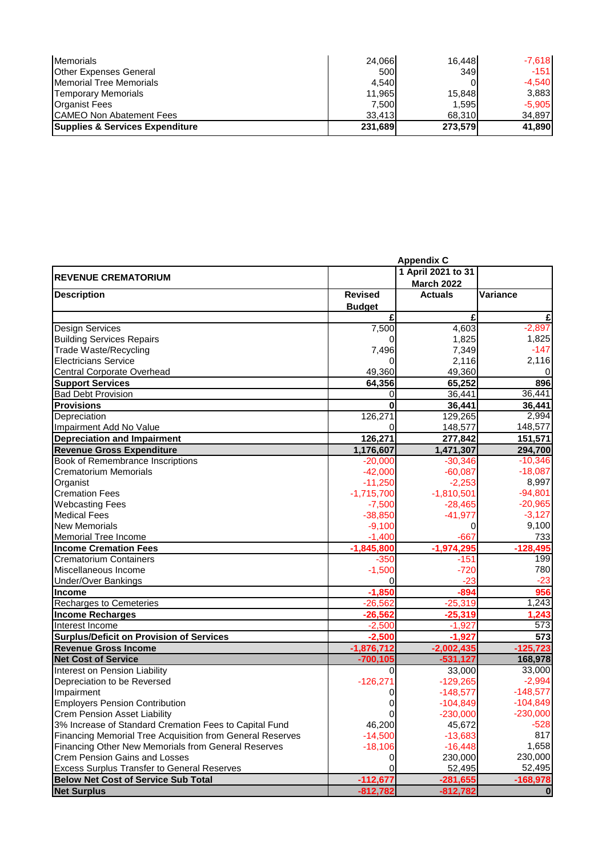| <b>Memorials</b>                | 24.066  | 16.448  | $-7,618$ |
|---------------------------------|---------|---------|----------|
| <b>Other Expenses General</b>   | 500     | 349     | $-151$   |
| <b>IMemorial Tree Memorials</b> | 4.540   |         | $-4,540$ |
| <b>Temporary Memorials</b>      | 11,965  | 15.848  | 3.883    |
| <b>Organist Fees</b>            | 7.500   | 1.595   | $-5,905$ |
| <b>CAMEO Non Abatement Fees</b> | 33.413  | 68.310  | 34,897   |
| Supplies & Services Expenditure | 231,689 | 273,579 | 41,890   |

|                                                           | <b>Appendix C</b> |                    |              |
|-----------------------------------------------------------|-------------------|--------------------|--------------|
|                                                           |                   | 1 April 2021 to 31 |              |
| <b>REVENUE CREMATORIUM</b>                                |                   | <b>March 2022</b>  |              |
| <b>Description</b>                                        | <b>Revised</b>    | <b>Actuals</b>     | Variance     |
|                                                           | <b>Budget</b>     |                    |              |
|                                                           | £                 | £                  | £            |
| <b>Design Services</b>                                    | 7,500             | 4,603              | $-2,897$     |
| <b>Building Services Repairs</b>                          | 0                 | 1,825              | 1,825        |
| <b>Trade Waste/Recycling</b>                              | 7,496             | 7,349              | $-147$       |
| Electricians Service                                      |                   | 2,116              | 2,116        |
| Central Corporate Overhead                                | 49,360            | 49,360             | 0            |
| <b>Support Services</b>                                   | 64,356            | 65,252             | 896          |
| <b>Bad Debt Provision</b>                                 | 0                 | 36,441             | 36,441       |
| <b>Provisions</b>                                         | 0                 | 36,441             | 36,441       |
| Depreciation                                              | 126,271           | 129,265            | 2,994        |
| Impairment Add No Value                                   | 0                 | 148,577            | 148,577      |
| <b>Depreciation and Impairment</b>                        | 126,271           | 277,842            | 151,571      |
| <b>Revenue Gross Expenditure</b>                          | 1,176,607         | 1,471,307          | 294,700      |
| Book of Remembrance Inscriptions                          | $-20,000$         | $-30,346$          | $-10,346$    |
| <b>Crematorium Memorials</b>                              | $-42,000$         | $-60,087$          | $-18,087$    |
| Organist                                                  | $-11,250$         | $-2,253$           | 8,997        |
| <b>Cremation Fees</b>                                     | $-1,715,700$      | $-1,810,501$       | $-94,801$    |
| <b>Webcasting Fees</b>                                    | $-7,500$          | $-28,465$          | $-20,965$    |
| <b>Medical Fees</b>                                       | $-38,850$         | $-41,977$          | $-3,127$     |
| <b>New Memorials</b>                                      | $-9,100$          | 0                  | 9,100        |
| Memorial Tree Income                                      | $-1,400$          | $-667$             | 733          |
| <b>Income Cremation Fees</b>                              | $-1,845,800$      | $-1,974,295$       | $-128,495$   |
| <b>Crematorium Containers</b>                             | $-350$            | $-151$             | 199          |
| Miscellaneous Income                                      | $-1,500$          | $-720$             | 780          |
| <b>Under/Over Bankings</b>                                | 0                 | $-23$              | $-23$        |
| Income                                                    | $-1,850$          | $-894$             | 956          |
| <b>Recharges to Cemeteries</b>                            | $-26,562$         | $-25,319$          | 1,243        |
| <b>Income Recharges</b>                                   | $-26,562$         | $-25,319$          | 1,243        |
| Interest Income                                           | $-2,500$          | $-1,927$           | 573          |
| <b>Surplus/Deficit on Provision of Services</b>           | $-2,500$          | $-1,927$           | 573          |
| <b>Revenue Gross Income</b>                               | $-1,876,712$      | $-2,002,435$       | $-125,723$   |
| <b>Net Cost of Service</b>                                | $-700, 105$       | $-531,127$         | 168,978      |
| Interest on Pension Liability                             | 0                 | 33,000             | 33,000       |
| Depreciation to be Reversed                               | $-126,271$        | $-129,265$         | $-2,994$     |
| Impairment                                                | 0                 | $-148,577$         | $-148,577$   |
| <b>Employers Pension Contribution</b>                     | 0                 | $-104,849$         | $-104,849$   |
| <b>Crem Pension Asset Liability</b>                       | U                 | $-230,000$         | $-230,000$   |
| 3% Increase of Standard Cremation Fees to Capital Fund    | 46,200            | 45,672             | $-528$       |
| Financing Memorial Tree Acquisition from General Reserves | $-14,500$         | $-13,683$          | 817          |
| Financing Other New Memorials from General Reserves       | $-18,106$         | $-16,448$          | 1,658        |
| <b>Crem Pension Gains and Losses</b>                      |                   | 230,000            | 230,000      |
| <b>Excess Surplus Transfer to General Reserves</b>        | 0                 | 52,495             | 52,495       |
| <b>Below Net Cost of Service Sub Total</b>                | $-112,677$        | $-281,655$         | $-168,978$   |
| <b>Net Surplus</b>                                        | $-812,782$        | $-812,782$         | $\mathbf{0}$ |